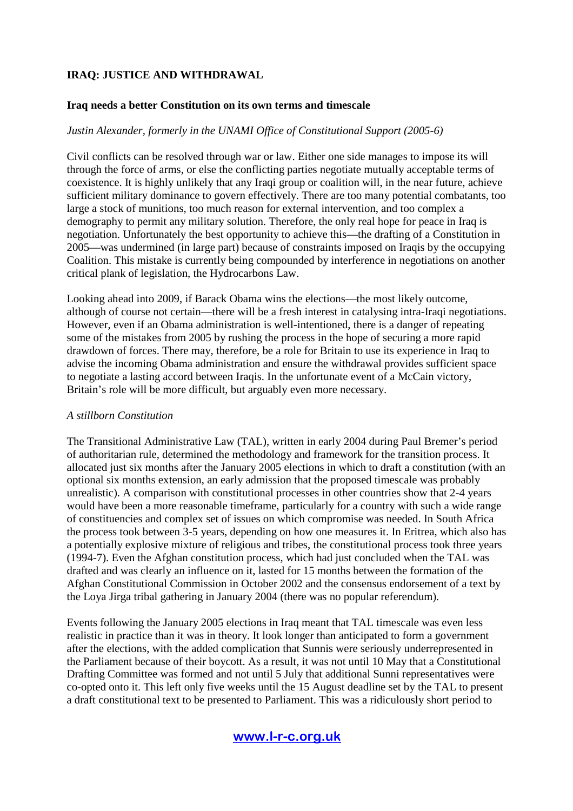#### **Iraq needs a better Constitution on its own terms and timescale**

### *Justin Alexander, formerly in the UNAMI Office of Constitutional Support (2005-6)*

Civil conflicts can be resolved through war or law. Either one side manages to impose its will through the force of arms, or else the conflicting parties negotiate mutually acceptable terms of coexistence. It is highly unlikely that any Iraqi group or coalition will, in the near future, achieve sufficient military dominance to govern effectively. There are too many potential combatants, too large a stock of munitions, too much reason for external intervention, and too complex a demography to permit any military solution. Therefore, the only real hope for peace in Iraq is negotiation. Unfortunately the best opportunity to achieve this—the drafting of a Constitution in 2005—was undermined (in large part) because of constraints imposed on Iraqis by the occupying Coalition. This mistake is currently being compounded by interference in negotiations on another critical plank of legislation, the Hydrocarbons Law.

Looking ahead into 2009, if Barack Obama wins the elections—the most likely outcome, although of course not certain—there will be a fresh interest in catalysing intra-Iraqi negotiations. However, even if an Obama administration is well-intentioned, there is a danger of repeating some of the mistakes from 2005 by rushing the process in the hope of securing a more rapid drawdown of forces. There may, therefore, be a role for Britain to use its experience in Iraq to advise the incoming Obama administration and ensure the withdrawal provides sufficient space to negotiate a lasting accord between Iraqis. In the unfortunate event of a McCain victory, Britain's role will be more difficult, but arguably even more necessary.

#### *A stillborn Constitution*

The Transitional Administrative Law (TAL), written in early 2004 during Paul Bremer's period of authoritarian rule, determined the methodology and framework for the transition process. It allocated just six months after the January 2005 elections in which to draft a constitution (with an optional six months extension, an early admission that the proposed timescale was probably unrealistic). A comparison with constitutional processes in other countries show that 2-4 years would have been a more reasonable timeframe, particularly for a country with such a wide range of constituencies and complex set of issues on which compromise was needed. In South Africa the process took between 3-5 years, depending on how one measures it. In Eritrea, which also has a potentially explosive mixture of religious and tribes, the constitutional process took three years (1994-7). Even the Afghan constitution process, which had just concluded when the TAL was drafted and was clearly an influence on it, lasted for 15 months between the formation of the Afghan Constitutional Commission in October 2002 and the consensus endorsement of a text by the Loya Jirga tribal gathering in January 2004 (there was no popular referendum).

Events following the January 2005 elections in Iraq meant that TAL timescale was even less realistic in practice than it was in theory. It look longer than anticipated to form a government after the elections, with the added complication that Sunnis were seriously underrepresented in the Parliament because of their boycott. As a result, it was not until 10 May that a Constitutional Drafting Committee was formed and not until 5 July that additional Sunni representatives were co-opted onto it. This left only five weeks until the 15 August deadline set by the TAL to present a draft constitutional text to be presented to Parliament. This was a ridiculously short period to

# www.l-r-c.org.uk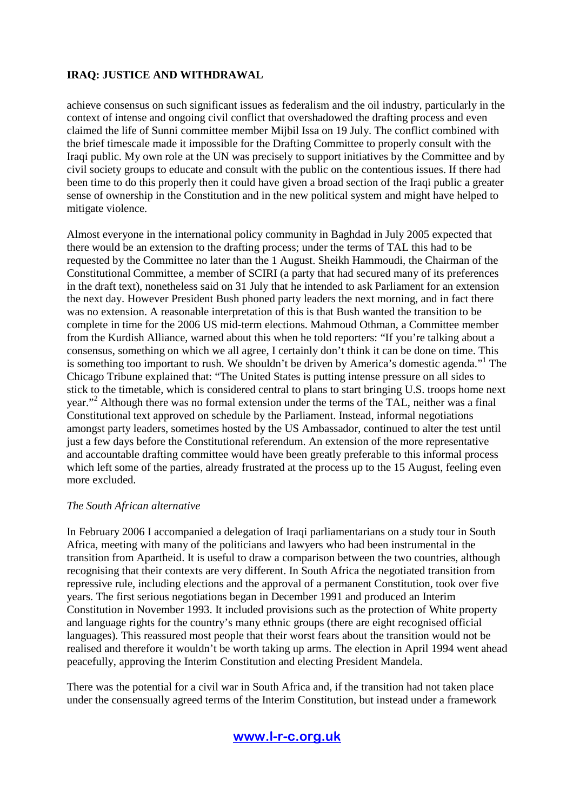achieve consensus on such significant issues as federalism and the oil industry, particularly in the context of intense and ongoing civil conflict that overshadowed the drafting process and even claimed the life of Sunni committee member Mijbil Issa on 19 July. The conflict combined with the brief timescale made it impossible for the Drafting Committee to properly consult with the Iraqi public. My own role at the UN was precisely to support initiatives by the Committee and by civil society groups to educate and consult with the public on the contentious issues. If there had been time to do this properly then it could have given a broad section of the Iraqi public a greater sense of ownership in the Constitution and in the new political system and might have helped to mitigate violence.

Almost everyone in the international policy community in Baghdad in July 2005 expected that there would be an extension to the drafting process; under the terms of TAL this had to be requested by the Committee no later than the 1 August. Sheikh Hammoudi, the Chairman of the Constitutional Committee, a member of SCIRI (a party that had secured many of its preferences in the draft text), nonetheless said on 31 July that he intended to ask Parliament for an extension the next day. However President Bush phoned party leaders the next morning, and in fact there was no extension. A reasonable interpretation of this is that Bush wanted the transition to be complete in time for the 2006 US mid-term elections. Mahmoud Othman, a Committee member from the Kurdish Alliance, warned about this when he told reporters: "If you're talking about a consensus, something on which we all agree, I certainly don't think it can be done on time. This is something too important to rush. We shouldn't be driven by America's domestic agenda."<sup>1</sup> The Chicago Tribune explained that: "The United States is putting intense pressure on all sides to stick to the timetable, which is considered central to plans to start bringing U.S. troops home next year."<sup>2</sup> Although there was no formal extension under the terms of the TAL, neither was a final Constitutional text approved on schedule by the Parliament. Instead, informal negotiations amongst party leaders, sometimes hosted by the US Ambassador, continued to alter the test until just a few days before the Constitutional referendum. An extension of the more representative and accountable drafting committee would have been greatly preferable to this informal process which left some of the parties, already frustrated at the process up to the 15 August, feeling even more excluded.

#### *The South African alternative*

In February 2006 I accompanied a delegation of Iraqi parliamentarians on a study tour in South Africa, meeting with many of the politicians and lawyers who had been instrumental in the transition from Apartheid. It is useful to draw a comparison between the two countries, although recognising that their contexts are very different. In South Africa the negotiated transition from repressive rule, including elections and the approval of a permanent Constitution, took over five years. The first serious negotiations began in December 1991 and produced an Interim Constitution in November 1993. It included provisions such as the protection of White property and language rights for the country's many ethnic groups (there are eight recognised official languages). This reassured most people that their worst fears about the transition would not be realised and therefore it wouldn't be worth taking up arms. The election in April 1994 went ahead peacefully, approving the Interim Constitution and electing President Mandela.

There was the potential for a civil war in South Africa and, if the transition had not taken place under the consensually agreed terms of the Interim Constitution, but instead under a framework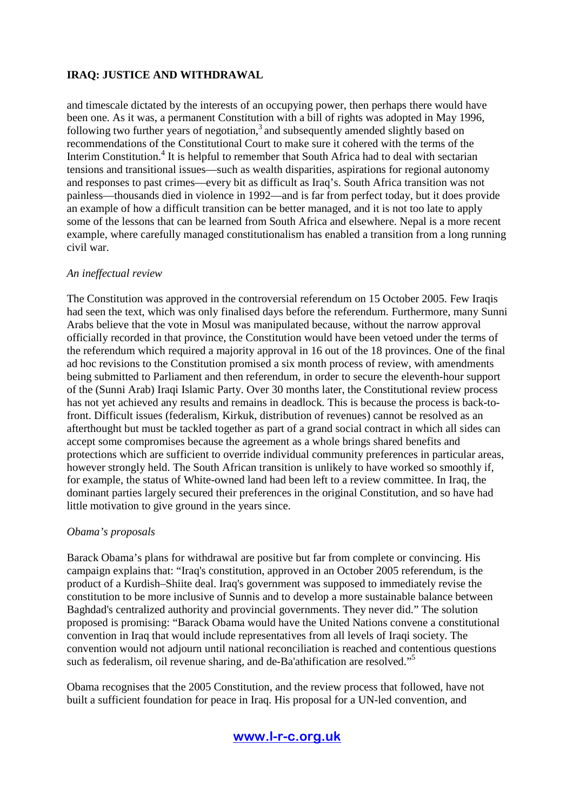and timescale dictated by the interests of an occupying power, then perhaps there would have been one. As it was, a permanent Constitution with a bill of rights was adopted in May 1996, following two further years of negotiation, $3$  and subsequently amended slightly based on recommendations of the Constitutional Court to make sure it cohered with the terms of the Interim Constitution.<sup>4</sup> It is helpful to remember that South Africa had to deal with sectarian tensions and transitional issues—such as wealth disparities, aspirations for regional autonomy and responses to past crimes—every bit as difficult as Iraq's. South Africa transition was not painless—thousands died in violence in 1992—and is far from perfect today, but it does provide an example of how a difficult transition can be better managed, and it is not too late to apply some of the lessons that can be learned from South Africa and elsewhere. Nepal is a more recent example, where carefully managed constitutionalism has enabled a transition from a long running civil war.

#### *An ineffectual review*

The Constitution was approved in the controversial referendum on 15 October 2005. Few Iraqis had seen the text, which was only finalised days before the referendum. Furthermore, many Sunni Arabs believe that the vote in Mosul was manipulated because, without the narrow approval officially recorded in that province, the Constitution would have been vetoed under the terms of the referendum which required a majority approval in 16 out of the 18 provinces. One of the final ad hoc revisions to the Constitution promised a six month process of review, with amendments being submitted to Parliament and then referendum, in order to secure the eleventh-hour support of the (Sunni Arab) Iraqi Islamic Party. Over 30 months later, the Constitutional review process has not yet achieved any results and remains in deadlock. This is because the process is back-tofront. Difficult issues (federalism, Kirkuk, distribution of revenues) cannot be resolved as an afterthought but must be tackled together as part of a grand social contract in which all sides can accept some compromises because the agreement as a whole brings shared benefits and protections which are sufficient to override individual community preferences in particular areas, however strongly held. The South African transition is unlikely to have worked so smoothly if, for example, the status of White-owned land had been left to a review committee. In Iraq, the dominant parties largely secured their preferences in the original Constitution, and so have had little motivation to give ground in the years since.

#### *Obama's proposals*

Barack Obama's plans for withdrawal are positive but far from complete or convincing. His campaign explains that: "Iraq's constitution, approved in an October 2005 referendum, is the product of a Kurdish–Shiite deal. Iraq's government was supposed to immediately revise the constitution to be more inclusive of Sunnis and to develop a more sustainable balance between Baghdad's centralized authority and provincial governments. They never did." The solution proposed is promising: "Barack Obama would have the United Nations convene a constitutional convention in Iraq that would include representatives from all levels of Iraqi society. The convention would not adjourn until national reconciliation is reached and contentious questions such as federalism, oil revenue sharing, and de-Ba'athification are resolved."<sup>5</sup>

Obama recognises that the 2005 Constitution, and the review process that followed, have not built a sufficient foundation for peace in Iraq. His proposal for a UN-led convention, and